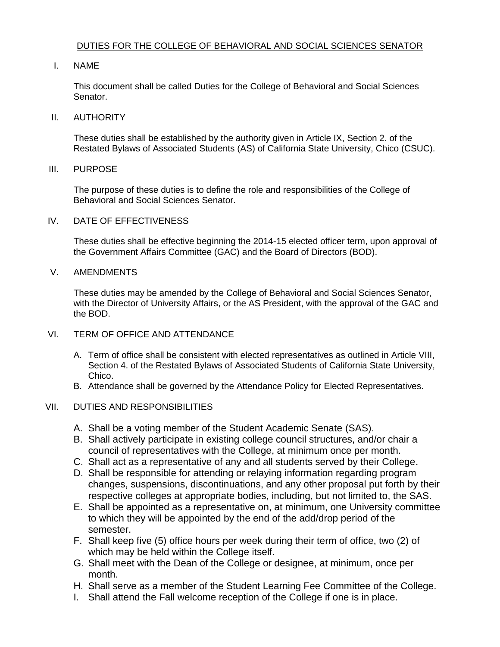# DUTIES FOR THE COLLEGE OF BEHAVIORAL AND SOCIAL SCIENCES SENATOR

## I. NAME

 This document shall be called Duties for the College of Behavioral and Social Sciences Senator.

#### II. AUTHORITY

 These duties shall be established by the authority given in Article IX, Section 2. of the Restated Bylaws of Associated Students (AS) of California State University, Chico (CSUC).

## III. PURPOSE

 The purpose of these duties is to define the role and responsibilities of the College of Behavioral and Social Sciences Senator.

## IV. DATE OF EFFECTIVENESS

 These duties shall be effective beginning the 2014-15 elected officer term, upon approval of the Government Affairs Committee (GAC) and the Board of Directors (BOD).

## V. AMENDMENTS

 These duties may be amended by the College of Behavioral and Social Sciences Senator, with the Director of University Affairs, or the AS President, with the approval of the GAC and the BOD.

# VI. TERM OF OFFICE AND ATTENDANCE

- A. Term of office shall be consistent with elected representatives as outlined in Article VIII, Section 4. of the Restated Bylaws of Associated Students of California State University, Chico.
- B. Attendance shall be governed by the Attendance Policy for Elected Representatives.

# VII. DUTIES AND RESPONSIBILITIES

- A. Shall be a voting member of the Student Academic Senate (SAS).
- B. Shall actively participate in existing college council structures, and/or chair a council of representatives with the College, at minimum once per month.
- C. Shall act as a representative of any and all students served by their College.
- D. Shall be responsible for attending or relaying information regarding program changes, suspensions, discontinuations, and any other proposal put forth by their respective colleges at appropriate bodies, including, but not limited to, the SAS.
- to which they will be appointed by the end of the add/drop period of the E. Shall be appointed as a representative on, at minimum, one University committee semester.
- F. Shall keep five (5) office hours per week during their term of office, two (2) of which may be held within the College itself.
- G. Shall meet with the Dean of the College or designee, at minimum, once per month.
- H. Shall serve as a member of the Student Learning Fee Committee of the College.
- I. Shall attend the Fall welcome reception of the College if one is in place.